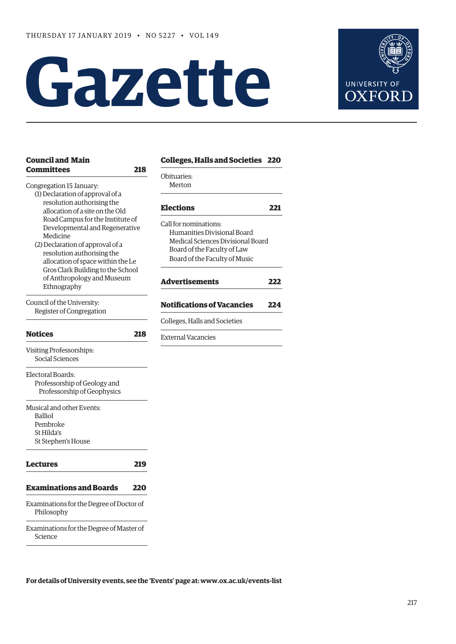# **Gazette**



| <b>Council and Main</b>                                             |     | <b>Colleges, Halls and Societies 220</b> |     |
|---------------------------------------------------------------------|-----|------------------------------------------|-----|
| <b>Committees</b>                                                   | 218 | Obituaries:                              |     |
| Congregation 15 January:                                            |     | Merton                                   |     |
| (1) Declaration of approval of a                                    |     |                                          |     |
| resolution authorising the                                          |     | <b>Elections</b>                         | 221 |
| allocation of a site on the Old<br>Road Campus for the Institute of |     |                                          |     |
| Developmental and Regenerative                                      |     | Call for nominations:                    |     |
| Medicine                                                            |     | Humanities Divisional Board              |     |
| (2) Declaration of approval of a                                    |     | Medical Sciences Divisional Board        |     |
| resolution authorising the                                          |     | Board of the Faculty of Law              |     |
| allocation of space within the Le                                   |     | Board of the Faculty of Music            |     |
| Gros Clark Building to the School                                   |     |                                          |     |
| of Anthropology and Museum                                          |     | <b>Advertisements</b>                    | 222 |
| Ethnography                                                         |     |                                          |     |
| Council of the University:                                          |     | <b>Notifications of Vacancies</b>        | 224 |
| Register of Congregation                                            |     |                                          |     |
|                                                                     |     | Colleges, Halls and Societies            |     |
| <b>Notices</b>                                                      | 218 | <b>External Vacancies</b>                |     |
| Visiting Professorships:                                            |     |                                          |     |
| Social Sciences                                                     |     |                                          |     |
|                                                                     |     |                                          |     |
| Electoral Boards:                                                   |     |                                          |     |
| Professorship of Geology and                                        |     |                                          |     |
| Professorship of Geophysics                                         |     |                                          |     |
| Musical and other Events:                                           |     |                                          |     |
| <b>Balliol</b>                                                      |     |                                          |     |
| Pembroke                                                            |     |                                          |     |
| St Hilda's                                                          |     |                                          |     |
| St Stephen's House                                                  |     |                                          |     |
|                                                                     |     |                                          |     |
| <b>Lectures</b>                                                     | 219 |                                          |     |
|                                                                     |     |                                          |     |
| <b>Examinations and Boards</b>                                      | 220 |                                          |     |
| Examinations for the Degree of Doctor of                            |     |                                          |     |
| Philosophy                                                          |     |                                          |     |
| Examinations for the Degree of Master of                            |     |                                          |     |
|                                                                     |     |                                          |     |

Science

**For details of University events, see the 'Events' page at: [www.ox.ac.uk/events-list](http://www.ox.ac.uk/events-list)**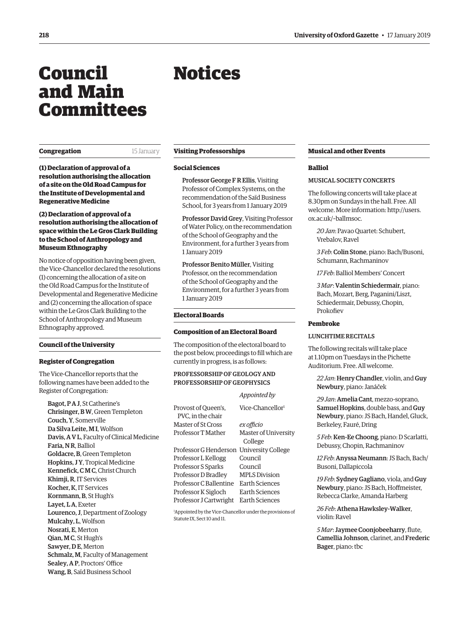# <span id="page-1-0"></span>Council and Main Committees

## **Congregation** 15 January

**(1) Declaration of approval of a resolution authorising the allocation of a site on the Old Road Campus for the Institute of Developmental and Regenerative Medicine**

# **(2) Declaration of approval of a resolution authorising the allocation of space within the Le Gros Clark Building to the School of Anthropology and Museum Ethnography**

No notice of opposition having been given, the Vice-Chancellor declared the resolutions (1) concerning the allocation of a site on the Old Road Campus for the Institute of Developmental and Regenerative Medicine and (2) concerning the allocation of space within the Le Gros Clark Building to the School of Anthropology and Museum Ethnography approved.

# **Council of the University**

#### **Register of Congregation**

The Vice-Chancellor reports that the following names have been added to the Register of Congregation:

Bagot, P A J, St Catherine's Chrisinger, B W, Green Templeton Couch, Y, Somerville Da Silva Leite, M I, Wolfson Davis, A V L, Faculty of Clinical Medicine Faria, N R, Balliol Goldacre, B, Green Templeton Hopkins, J Y, Tropical Medicine Kennefick, C M C, Christ Church Khimji, R, IT Services Kocher, K, IT Services Kornmann, B, St Hugh's Layet, LA, Exeter Lourenco, J, Department of Zoology Mulcahy, L, Wolfson Nosrati, E, Merton Qian, M C, St Hugh's Sawyer, DE, Merton Schmalz, M, Faculty of Management Sealey, A P, Proctors' Office Wang, B, Saïd Business School

#### **Visiting Professorships**

Notices

#### **Social Sciences**

Professor George F R Ellis, Visiting Professor of Complex Systems, on the recommendation of the Saïd Business School, for 3 years from 1 January 2019

Professor David Grey, Visiting Professor of Water Policy, on the recommendation of the School of Geography and the Environment, for a further 3 years from 1 January 2019

Professor Benito Müller, Visiting Professor, on the recommendation of the School of Geography and the Environment, for a further 3 years from 1 January 2019

#### **Electoral Boards**

#### **Composition of an Electoral Board**

The composition of the electoral board to the post below, proceedings to fill which are currently in progress, is as follows:

*Appointed by*

# PROFESSORSHIP OF GEOLOGY AND PROFESSORSHIP OF GEOPHYSICS

|                        | Appoirtied by                |
|------------------------|------------------------------|
| Provost of Oueen's.    | Vice-Chancellor <sup>1</sup> |
| PVC. in the chair      |                              |
| Master of St Cross     | ex officio                   |
| Professor T Mather     | <b>Master of University</b>  |
|                        | College                      |
| Professor G Henderson  | <b>University College</b>    |
| Professor L Kellogg    | Council                      |
| Professor S Sparks     | Council                      |
| Professor D Bradley    | <b>MPLS Division</b>         |
| Professor C Ballentine | Earth Sciences               |
| Professor K Sigloch    | Earth Sciences               |
| Professor J Cartwright | Earth Sciences               |

1 Appointed by the Vice-Chancellor under the provisions of Statute IX, Sect 10 and 11.

## **Musical and other Events**

#### **Balliol**

#### MUSICAL SOCIETY CONCERTS

The following concerts will take place at 8.30pm on Sundays in the hall. Free. All [welcome. More information: http://users.](http://users.ox.ac.uk/~ballmsoc) ox.ac.uk/~ballmsoc.

*20 Jan*: Pavao Quartet: Schubert, Vrebalov, Ravel

*3 Feb*: Colin Stone, piano: Bach/Busoni, Schumann, Rachmaninov

*17 Feb*: Balliol Members' Concert

*3 Mar*: Valentin Schiedermair, piano: Bach, Mozart, Berg, Paganini/Liszt, Schiedermair, Debussy, Chopin, Prokofiev

# **Pembroke**

#### LUNCHTIME RECITALS

The following recitals will take place at 1.10pm on Tuesdays in the Pichette Auditorium. Free. All welcome.

*22 Jan*: Henry Chandler, violin, and Guy Newbury, piano: Janáček

*29 Jan*: Amelia Cant, mezzo-soprano, Samuel Hopkins, double bass, and Guy Newbury, piano: JS Bach, Handel, Gluck, Berkeley, Fauré, Dring

*5 Feb*: Ken-Ee Choong, piano: D Scarlatti, Debussy, Chopin, Rachmaninov

*12 Feb*: Anyssa Neumann: JS Bach, Bach/ Busoni, Dallapiccola

*19 Feb*: Sydney Gagliano, viola, and Guy Newbury, piano: JS Bach, Hoffmeister, Rebecca Clarke, Amanda Harberg

*26 Feb*: Athena Hawksley-Walker, violin: Ravel

*5 Mar*: Jaymee Coonjobeeharry, flute, Camellia Johnson, clarinet, and Frederic Bager, piano: tbc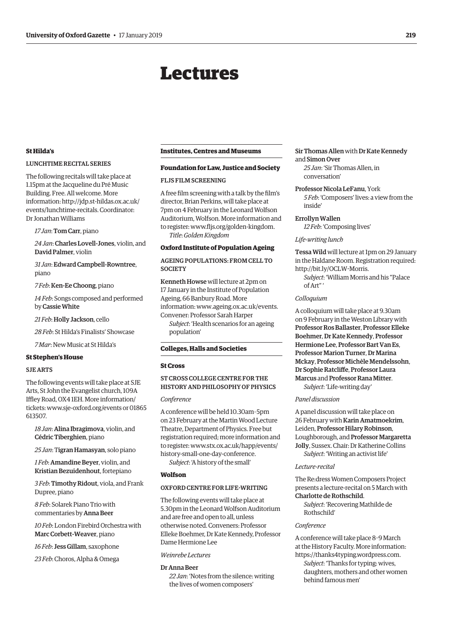# Lectures

# <span id="page-2-0"></span>**St Hilda's**

# LUNCHTIME RECITAL SERIES

The following recitals will take place at 1.15pm at the Jacqueline du Pré Music Building. Free. All welcome. More [information: http://jdp.st-hildas.ox.ac.uk/](http://jdp.st-hildas.ox.ac.uk/events/lunchtime-recitals) events/lunchtime-recitals. Coordinator: Dr Jonathan Williams

#### *17 Jan*: Tom Carr, piano

*24 Jan*: Charles Lovell-Jones, violin, and David Palmer, violin

*31 Jan*: Edward Campbell-Rowntree, piano

*7 Feb*: Ken-Ee Choong, piano

*14 Feb*: Songs composed and performed by Cassie White

*21 Feb*: Holly Jackson, cello

*28 Feb*: St Hilda's Finalists' Showcase

*7 Mar*: New Music at St Hilda's

## **St Stephen's House**

#### SJE ARTS

The following events will take place at SJE Arts, St John the Evangelist church, 109A Iffley Road, OX4 1EH. More information/ tickets: [www.sje-oxford.org/events or](http://www.sje-oxford.org/events) 01865 613507.

*18 Jan*: Alina Ibragimova, violin, and Cédric Tiberghien, piano

*25 Jan*: Tigran Hamasyan, solo piano

*1 Feb*: Amandine Beyer, violin, and Kristian Bezuidenhout, fortepiano

*3 Feb*: Timothy Ridout, viola, and Frank Dupree, piano

*8 Feb*: Solarek Piano Trio with commentaries by Anna Beer

*10 Feb*: London Firebird Orchestra with Marc Corbett-Weaver, piano

*16 Feb*: Jess Gillam, saxophone

*23 Feb*: Choros, Alpha & Omega

#### **Institutes, Centres and Museums**

# **Foundation for Law, Justice and Society**

#### FLJS FILM SCREENING

A free film screening with a talk by the film's director, Brian Perkins, will take place at 7pm on 4 February in the Leonard Wolfson Auditorium, Wolfson. More information and to register: [www.fljs.org/golden-kingdom.](http://www.fljs.org/golden-kingdom) *Title*: *Golden Kingdom*

# **Oxford Institute of Population Ageing**

# AGEING POPULATIONS: FROM CELL TO **SOCIETY**

Kenneth Howse will lecture at 2pm on 17 January in the Institute of Population Ageing, 66 Banbury Road. More information: [www.ageing.ox.ac.uk/events.](http://www.ageing.ox.ac.uk/events)  Convener: Professor Sarah Harper *Subject*: 'Health scenarios for an ageing population'

# **Colleges, Halls and Societies**

#### **St Cross**

# ST CROSS COLLEGE CENTRE FOR THE HISTORY AND PHILOSOPHY OF PHYSICS

# *Conference*

A conference will be held 10.30am–5pm on 23 February at the Martin Wood Lecture Theatre, Department of Physics. Free but registration required; more information and [to register: www.stx.ox.ac.uk/happ/events/](www.stx.ox.ac.uk/happ/events/history-small-one-day-conference) history-small-one-day-conference.

*Subject*: 'A history of the small'

# **Wolfson**

## OXFORD CENTRE FOR LIFE-WRITING

The following events will take place at 5.30pm in the Leonard Wolfson Auditorium and are free and open to all, unless otherwise noted. Conveners: Professor Elleke Boehmer, Dr Kate Kennedy, Professor Dame Hermione Lee

# *Weinrebe Lectures*

#### Dr Anna Beer

*22 Jan*: 'Notes from the silence: writing the lives of women composers'

# Sir Thomas Allen with Dr Kate Kennedy and Simon Over

*25 Jan*: 'Sir Thomas Allen, in conversation'

Professor Nicola LeFanu, York *5 Feb*: 'Composers' lives: a view from the inside'

# Errollyn Wallen

*12 Feb*: 'Composing lives'

#### *Life-writing lunch*

Tessa Wild will lecture at 1pm on 29 January in the Haldane Room. Registration required: [http://bit.ly/OCLW-Morris.](http://bit.ly/OCLW-Morris)

*Subject*: 'William Morris and his "Palace of Art" '

#### *Colloquium*

A colloquium will take place at 9.30am on 9 February in the Weston Library with Professor Ros Ballaster, Professor Elleke Boehmer, Dr Kate Kennedy, Professor Hermione Lee, Professor Bart Van Es, Professor Marion Turner, Dr Marina Mckay, Professor Michèle Mendelssohn, Dr Sophie Ratcliffe, Professor Laura Marcus and Professor Rana Mitter.

*Subject*: 'Life-writing day'

# *Panel discussion*

A panel discussion will take place on 26 February with Karin Amatmoekrim, Leiden, Professor Hilary Robinson, Loughborough, and Professor Margaretta Jolly, Sussex. Chair: Dr Katherine Collins *Subject*: 'Writing an activist life'

# *Lecture-recital*

The Re:dress Women Composers Project presents a lecture-recital on 5 March with Charlotte de Rothschild.

*Subject*: 'Recovering Mathilde de Rothschild'

#### *Conference*

A conference will take place 8–9 March at the History Faculty. More information: [https://thanks4typing.wordpress.com.](https://thanks4typing.wordpress.com)

*Subject*: 'Thanks for typing: wives, daughters, mothers and other women behind famous men'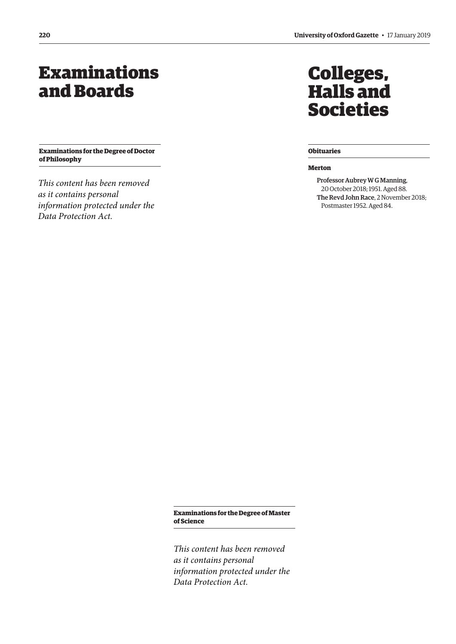# <span id="page-3-0"></span>Examinations and Boards

**Examinations for the Degree of Doctor of Philosophy**

*This content has been removed as it contains personal information protected under the Data Protection Act.*

# Colleges, Halls and Societies

# **Obituaries**

#### **Merton**

Professor Aubrey W G Manning, 20 October 2018; 1951. Aged 88. The Revd John Race, 2 November 2018; Postmaster 1952. Aged 84.

**Examinations for the Degree of Master of Science**

*This content has been removed as it contains personal information protected under the Data Protection Act.*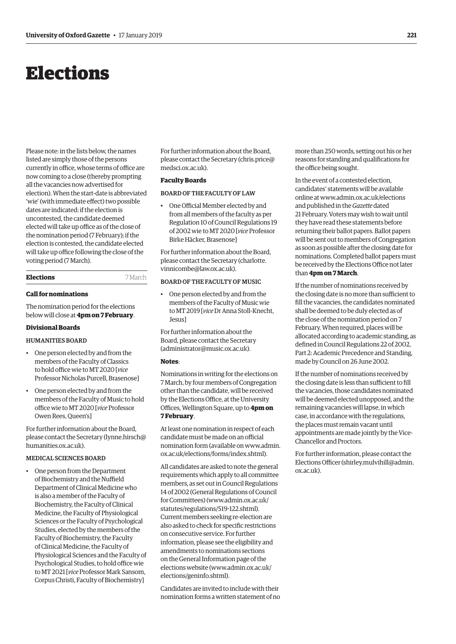# <span id="page-4-0"></span>Elections

Please note: in the lists below, the names listed are simply those of the persons currently in office, whose terms of office are now coming to a close (thereby prompting all the vacancies now advertised for election). When the start-date is abbreviated 'wie' (with immediate effect) two possible dates are indicated: if the election is uncontested, the candidate deemed elected will take up office as of the close of the nomination period (7 February); if the election is contested, the candidate elected will take up office following the close of the voting period (7 March).

# **Elections** 7 March

## **Call for nominations**

The nomination period for the elections below will close at **4pm on 7 February**.

#### **Divisional Boards**

# HUMANITIES BOARD

- One person elected by and from the members of the Faculty of Classics to hold office wie to MT 2020 [*vice* Professor Nicholas Purcell, Brasenose]
- One person elected by and from the members of the Faculty of Music to hold office wie to MT 2020 [*vice* Professor Owen Rees, Queen's]

For further information about the Board, please contact the Secretary [\(lynne.hirsch@](mailto:lynne.hirsch@humanities.ox.ac.uk) [humanities.ox.ac.uk\).](mailto:lynne.hirsch@humanities.ox.ac.uk)

## MEDICAL SCIENCES BOARD

• One person from the Department of Biochemistry and the Nuffield Department of Clinical Medicine who is also a member of the Faculty of Biochemistry, the Faculty of Clinical Medicine, the Faculty of Physiological Sciences or the Faculty of Psychological Studies, elected by the members of the Faculty of Biochemistry, the Faculty of Clinical Medicine, the Faculty of Physiological Sciences and the Faculty of Psychological Studies, to hold office wie to MT 2021 [*vice* Professor Mark Sansom, Corpus Christi, Faculty of Biochemistry]

For further information about the Board, please contact the Secretary ([chris.price@](mailto:chris.price@medsci.ox.ac.uk) [medsci.ox.ac.uk\).](mailto:chris.price@medsci.ox.ac.uk)

## **Faculty Boards**

## BOARD OF THE FACULTY OF LAW

• One Official Member elected by and from all members of the faculty as per Regulation 10 of Council Regulations 19 of 2002 wie to MT 2020 [*vice* Professor Birke Häcker, Brasenose]

For further information about the Board, [please contact the Secretary \(charlotte.](mailto:charlotte.vinnicombe@law.ox.ac.uk) vinnicombe@law.ox.ac.uk).

# BOARD OF THE FACULTY OF MUSIC

• One person elected by and from the members of the Faculty of Music wie to MT 2019 [*vice* Dr Anna Stoll-Knecht, Jesus]

For further information about the Board, please contact the Secretary [\(administrator@music.ox.ac.uk\).](mailto:administrator@music.ox.ac.uk)

#### **Notes**:

Nominations in writing for the elections on 7 March, by four members of Congregation other than the candidate, will be received by the Elections Office, at the University Offices, Wellington Square, up to **4pm on 7 February**.

At least one nomination in respect of each candidate must be made on an official [nomination form \(available on www.admin.](www.admin.ox.ac.uk/elections/forms/index.shtml) ox.ac.uk/elections/forms/index.shtml).

All candidates are asked to note the general requirements which apply to all committee members, as set out in Council Regulations 14 of 2002 (General Regulations of Council for Committees) [\(www.admin.ox.ac.uk/](http://www.admin.ox.ac.uk/statutes/regulations/519-122.shtml) [statutes/regulations/519-122.shtml\).](http://www.admin.ox.ac.uk/statutes/regulations/519-122.shtml)  Current members seeking re-election are also asked to check for specific restrictions on consecutive service. For further information, please see the eligibility and amendments to nominations sections on the General Information page of the elections website ([www.admin.ox.ac.uk/](http://www.admin.ox.ac.uk/elections/geninfo.shtml) [elections/geninfo.shtml\).](http://www.admin.ox.ac.uk/elections/geninfo.shtml)

Candidates are invited to include with their nomination forms a written statement of no more than 250 words, setting out his or her reasons for standing and qualifications for the office being sought.

In the event of a contested election, candidates' statements will be available online at [www.admin.ox.ac.uk/elections](http://www.admin.ox.ac.uk/elections)  and published in the *Gazette* dated 21 February. Voters may wish to wait until they have read these statements before returning their ballot papers. Ballot papers will be sent out to members of Congregation as soon as possible after the closing date for nominations. Completed ballot papers must be received by the Elections Office not later than **4pm on 7 March**.

If the number of nominations received by the closing date is no more than sufficient to fill the vacancies, the candidates nominated shall be deemed to be duly elected as of the close of the nomination period on 7 February. When required, places will be allocated according to academic standing, as defined in Council Regulations 22 of 2002, Part 2: Academic Precedence and Standing, made by Council on 26 June 2002.

If the number of nominations received by the closing date is less than sufficient to fill the vacancies, those candidates nominated will be deemed elected unopposed, and the remaining vacancies will lapse, in which case, in accordance with the regulations, the places must remain vacant until appointments are made jointly by the Vice-Chancellor and Proctors.

For further information, please contact the Elections Officer [\(shirley.mulvihill@admin.](mailto:shirley.mulvihill@admin.ox.ac.uk) [ox.ac.uk\).](mailto:shirley.mulvihill@admin.ox.ac.uk)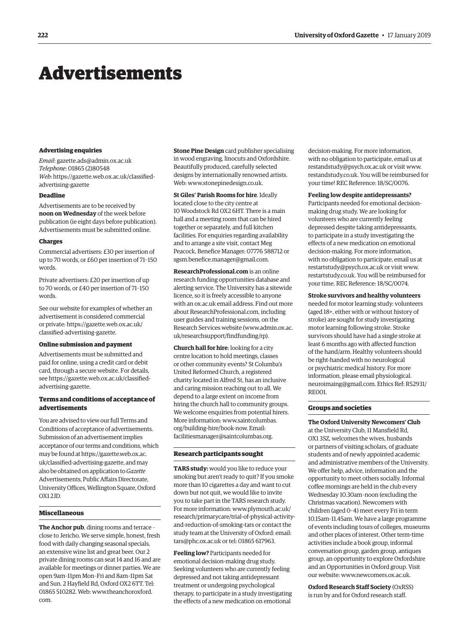# <span id="page-5-0"></span>Advertisements

#### **Advertising enquiries**

*Email*: [gazette.ads@admin.ox.ac.uk](mailto:gazette.ads@admin.ox.ac.uk) *Telephone*: 01865 (2)80548 *Web*[: https://gazette.web.ox.ac.uk/classified](https://gazette.web.ox.ac.uk/classified-advertising-gazette)advertising-gazette

# **Deadline**

Advertisements are to be received by **noon on Wednesday** of the week before publication (ie eight days before publication). Advertisements must be submitted online.

#### **Charges**

Commercial advertisers: £30 per insertion of up to 70 words, or £60 per insertion of 71–150 words.

Private advertisers: £20 per insertion of up to 70 words, or £40 per insertion of 71–150 words.

See our website for examples of whether an advertisement is considered commercial [or private: https://gazette.web.ox.ac.uk/](https://gazette.web.ox.ac.uk/classified-advertising-gazette) classified-advertising-gazette.

# **Online submission and payment**

Advertisements must be submitted and paid for online, using a credit card or debit card, through a secure website. For details, [see https://gazette.web.ox.ac.uk/classified](https://gazette.web.ox.ac.uk/classified-advertising-gazette)advertising-gazette.

# **Terms and conditions of acceptance of advertisements**

You are advised to view our full Terms and Conditions of acceptance of advertisements. Submission of an advertisement implies acceptance of our terms and conditions, which may be found at https://gazette.web.ox.ac. [uk/classified-advertising-gazette, and may](https://gazette.web.ox.ac.uk/classified-advertising-gazette)  also be obtained on application to *Gazette* Advertisements, Public Affairs Directorate, University Offices, Wellington Square, Oxford OX1 2JD.

#### **Miscellaneous**

**The Anchor pub**, dining rooms and terrace – close to Jericho. We serve simple, honest, fresh food with daily changing seasonal specials, an extensive wine list and great beer. Our 2 private dining rooms can seat 14 and 16 and are available for meetings or dinner parties. We are open 9am–11pm Mon–Fri and 8am–11pm Sat and Sun. 2 Hayfield Rd, Oxford OX2 6TT. Tel: [01865 510282. Web: www.theanchoroxford.](www.theanchoroxford.com) com.

**Stone Pine Design** card publisher specialising in wood engraving, linocuts and Oxfordshire. Beautifully produced, carefully selected designs by internationally renowned artists. Web: [www.stonepinedesign.co.uk.](http://www.stonepinedesign.co.uk)

**St Giles' Parish Rooms for hire**. Ideally located close to the city centre at 10 Woodstock Rd OX2 6HT. There is a main hall and a meeting room that can be hired together or separately, and full kitchen facilities. For enquiries regarding availability and to arrange a site visit, contact Meg Peacock, Benefice Manager: 07776 588712 or [sgsm.benefice.manager@gmail.com.](mailto:sgsm.benefice.manager@gmail.com)

**ResearchProfessional.com** is an online research funding opportunities database and alerting service. The University has a sitewide licence, so it is freely accessible to anyone with an ox.ac.uk email address. Find out more about ResearchProfessional.com, including user guides and training sessions, on the Research Services website ([www.admin.ox.ac.](http://www.admin.ox.ac.uk/researchsupport/findfunding/rp) [uk/researchsupport/findfunding/rp\).](http://www.admin.ox.ac.uk/researchsupport/findfunding/rp) 

**Church hall for hire**: looking for a city centre location to hold meetings, classes or other community events? St Columba's United Reformed Church, a registered charity located in Alfred St, has an inclusive and caring mission reaching out to all. We depend to a large extent on income from hiring the church hall to community groups. We welcome enquiries from potential hirers. [More information: www.saintcolumbas.](www.saintcolumbas.org/building-hire/book-now) org/building-hire/book-now. Email: [facilitiesmanager@saintcolumbas.org.](mailto:facilitiesmanager@saintcolumbas.org)

## **Research participants sought**

**TARS study:** would you like to reduce your smoking but aren't ready to quit? If you smoke more than 10 cigarettes a day and want to cut down but not quit, we would like to invite you to take part in the TARS research study. For more information: www.plymouth.ac.uk/ [research/primarycare/trial-of-physical-activity](www.plymouth.ac.uk/research/primarycare/trial-of-physical-activity-and-reduction-of-smoking-tars)and-reduction-of-smoking-tars or contact the study team at the University of Oxford: email: [tars@phc.ox.ac.uk or](mailto:tars@phc.ox.ac.uk) tel: 01865 617963.

**Feeling low?** Participants needed for emotional decision-making drug study. Seeking volunteers who are currently feeling depressed and not taking antidepressant treatment or undergoing psychological therapy, to participate in a study investigating the effects of a new medication on emotional

decision-making. For more information, with no obligation to participate, email us at [restandstudy@psych.ox.ac.uk or](mailto:restandstudy@psych.ox.ac.uk) visit [www.](http://www.restandstudy.co.uk) [restandstudy.co.uk. Yo](http://www.restandstudy.co.uk)u will be reimbursed for your time! REC Reference: 18/SC/0076.

#### **Feeling low despite antidepressants?**

Participants needed for emotional decisionmaking drug study. We are looking for volunteers who are currently feeling depressed despite taking antidepressants, to participate in a study investigating the effects of a new medication on emotional decision-making. For more information, with no obligation to participate, email us at [restartstudy@psych.ox.ac.uk or](mailto:restartstudy@psych.ox.ac.uk) visit [www.](http://www.restartstudy.co.uk) [restartstudy.co.uk. Yo](http://www.restartstudy.co.uk)u will be reimbursed for your time. REC Reference: 18/SC/0074.

#### **Stroke survivors and healthy volunteers**

needed for motor learning study: volunteers (aged 18+, either with or without history of stroke) are sought for study investigating motor learning following stroke. Stroke survivors should have had a single stroke at least 6 months ago with affected function of the hand/arm. Healthy volunteers should be right-handed with no neurological or psychiatric medical history. For more information, please email physiological. [neuroimaing@gmail.com. Ethics Ref: R52931/](mailto:physiological.neuroimaging@gmail.com) RE001.

#### **Groups and societies**

**The Oxford University Newcomers' Club** at the University Club, 11 Mansfield Rd, OX1 3SZ, welcomes the wives, husbands or partners of visiting scholars, of graduate students and of newly appointed academic and administrative members of the University. We offer help, advice, information and the opportunity to meet others socially. Informal coffee mornings are held in the club every Wednesday 10.30am–noon (excluding the Christmas vacation). Newcomers with children (aged 0–4) meet every Fri in term 10.15am–11.45am. We have a large programme of events including tours of colleges, museums and other places of interest. Other term-time activities include a book group, informal conversation group, garden group, antiques group, an opportunity to explore Oxfordshire and an Opportunities in Oxford group. Visit our website: [www.newcomers.ox.ac.uk.](http://www.newcomers.ox.ac.uk) 

**Oxford Research Staff Society** (OxRSS) is run by and for Oxford research staff.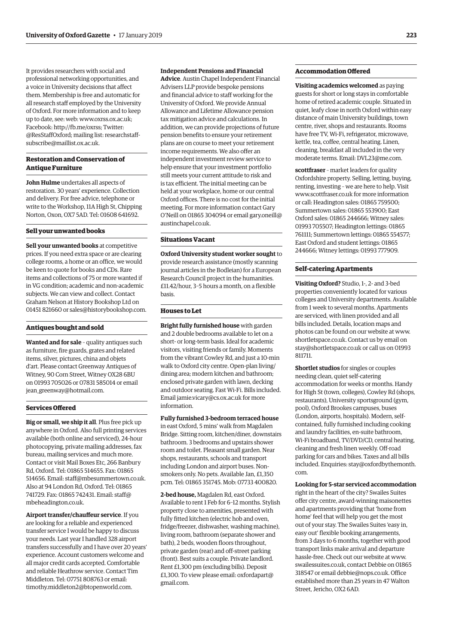It provides researchers with social and professional networking opportunities, and a voice in University decisions that affect them. Membership is free and automatic for all research staff employed by the University of Oxford. For more information and to keep up to date, see: web: [www.oxrss.ox.ac.uk;](http://www.oxrss.ox.ac.uk)  Facebook: [http://fb.me/oxrss; Tw](http://fb.me/oxrss)itter: [@ResStaffOxford; mailing list: researchstaff](mailto:researchstaff-subscribe@maillist.ox.ac.uk)subscribe@maillist.ox.ac.uk.

# **Restoration and Conservation of Antique Furniture**

**John Hulme** undertakes all aspects of restoration. 30 years' experience. Collection and delivery. For free advice, telephone or write to the Workshop, 11A High St, Chipping Norton, Oxon, OX7 5AD. Tel: 01608 641692.

#### **Sell your unwanted books**

**Sell your unwanted books** at competitive prices. If you need extra space or are clearing college rooms, a home or an office, we would be keen to quote for books and CDs. Rare items and collections of 75 or more wanted if in VG condition; academic and non-academic subjects. We can view and collect. Contact Graham Nelson at History Bookshop Ltd on 01451 821660 or [sales@historybookshop.com.](mailto:sales@historybookshop.com)

#### **Antiques bought and sold**

**Wanted and for sale** – quality antiques such as furniture, fire guards, grates and related items, silver, pictures, china and objets d'art. Please contact Greenway Antiques of Witney, 90 Corn Street, Witney OX28 6BU on 01993 705026 or 07831 585014 or email jean greenway@hotmail.com.

# **Services Offered**

**Big or small, we ship it all**. Plus free pick up anywhere in Oxford. Also full printing services available (both online and serviced), 24-hour photocopying, private mailing addresses, fax bureau, mailing services and much more. Contact or visit Mail Boxes Etc, 266 Banbury Rd, Oxford. Tel: 01865 514655. Fax: 01865 514656. Email: [staff@mbesummertown.co.uk.](mailto:staff@mbesummertown.co.uk)  Also at 94 London Rd, Oxford. Tel: 01865 [741729. Fax: 01865 742431. Email: staff@](mailto:staff@mbeheadington.co.uk) mbeheadington.co.uk.

**Airport transfer/chauffeur service**. If you are looking for a reliable and experienced transfer service I would be happy to discuss your needs. Last year I handled 328 airport transfers successfully and I have over 20 years' experience. Account customers welcome and all major credit cards accepted. Comfortable and reliable Heathrow service. Contact Tim Middleton. Tel: 07751 808763 or email: [timothy.middleton2@btopenworld.com.](mailto:timothy.middleton2@btopenworld.com)

## **Independent Pensions and Financial**

**Advice**. Austin Chapel Independent Financial Advisers LLP provide bespoke pensions and financial advice to staff working for the University of Oxford. We provide Annual Allowance and Lifetime Allowance pension tax mitigation advice and calculations. In addition, we can provide projections of future pension benefits to ensure your retirement plans are on course to meet your retirement income requirements. We also offer an independent investment review service to help ensure that your investment portfolio still meets your current attitude to risk and is tax efficient. The initial meeting can be held at your workplace, home or our central Oxford offices. There is no cost for the initial meeting. For more information contact Gary [O'Neill on 01865 304094 or email gary.oneill@](mailto:gary.oneill@austinchapel.co.uk) austinchapel.co.uk.

#### **Situations Vacant**

**Oxford University student worker sought** to provide research assistance (mostly scanning journal articles in the Bodleian) for a European Research Council project in the humanities. £11.42/hour, 3–5 hours a month, on a flexible basis.

## **Houses to Let**

**Bright fully furnished house** with garden and 2 double bedrooms available to let on a short- or long-term basis. Ideal for academic visitors, visiting friends or family. Moments from the vibrant Cowley Rd, and just a 10-min walk to Oxford city centre. Open-plan living/ dining area; modern kitchen and bathroom; enclosed private garden with lawn, decking and outdoor seating. Fast Wi-Fi. Bills included. Email [jamie.vicary@cs.ox.ac.uk for](mailto:jamie.vicary@cs.ox.ac.uk) more information.

**Fully furnished 3-bedroom terraced house**  in east Oxford, 5 mins' walk from Magdalen Bridge. Sitting room, kitchen/diner, downstairs bathroom. 3 bedrooms and upstairs shower room and toilet. Pleasant small garden. Near shops, restaurants, schools and transport including London and airport buses. Nonsmokers only. No pets. Available Jan, £1,350 pcm. Tel: 01865 351745. Mob: 07733 400820.

**2-bed house,** Magdalen Rd, east Oxford. Available to rent 1 Feb for 6–12 months. Stylish property close to amenities, presented with fully fitted kitchen (electric hob and oven, fridge/freezer, dishwasher, washing machine), living room, bathroom (separate shower and bath), 2 beds, wooden floors throughout, private garden (rear) and off-street parking (front). Best suits a couple. Private landlord. Rent £1,300 pm (excluding bills). Deposit [£1,300. To view please email: oxfordapart@](mailto:oxfordapart@gmail.com) gmail.com.

#### **Accommodation Offered**

**Visiting academics welcomed** as paying guests for short or long stays in comfortable home of retired academic couple. Situated in quiet, leafy close in north Oxford within easy distance of main University buildings, town centre, river, shops and restaurants. Rooms have free TV, Wi-Fi, refrigerator, microwave, kettle, tea, coffee, central heating. Linen, cleaning, breakfast all included in the very moderate terms. Email: [DVL23@me.com.](mailto:DVL23@me.com)

**scottfraser** – market leaders for quality Oxfordshire property. Selling, letting, buying, renting, investing – we are here to help. Visit [www.scottfraser.co.uk for](http://www.scottfraser.co.uk) more information or call: Headington sales: 01865 759500; Summertown sales: 01865 553900; East Oxford sales: 01865 244666; Witney sales: 01993 705507; Headington lettings: 01865 761111; Summertown lettings: 01865 554577; East Oxford and student lettings: 01865 244666; Witney lettings: 01993 777909.

#### **Self-catering Apartments**

**Visiting Oxford?** Studio, 1-, 2- and 3-bed properties conveniently located for various colleges and University departments. Available from 1 week to several months. Apartments are serviced, with linen provided and all bills included. Details, location maps and photos can be found on our website at [www.](http://www.shortletspace.co.uk) [shortletspace.co.uk. Co](http://www.shortletspace.co.uk)ntact us by email on [stay@shortletspace.co.uk or](mailto:stay@shortletspace.co.uk) call us on 01993 811711.

**Shortlet studios** for singles or couples needing clean, quiet self-catering accommodation for weeks or months. Handy for High St (town, colleges), Cowley Rd (shops, restaurants), University sportsground (gym, pool), Oxford Brookes campuses, buses (London, airports, hospitals). Modern, selfcontained, fully furnished including cooking and laundry facilities, en-suite bathroom, Wi-Fi broadband, TV/DVD/CD, central heating, cleaning and fresh linen weekly. Off-road parking for cars and bikes. Taxes and all bills [included. Enquiries: stay@oxfordbythemonth.](mailto:stay@oxfordbythemonth.com) com.

#### **Looking for 5-star serviced accommodation**

right in the heart of the city? Swailes Suites offer city centre, award-winning maisonettes and apartments providing that 'home from home' feel that will help you get the most out of your stay. The Swailes Suites 'easy in, easy out' flexible booking arrangements, from 3 days to 6 months, together with good transport links make arrival and departure hassle-free. Check out our website at [www.](http://www.swailessuites.co.uk) [swailessuites.co.uk, co](http://www.swailessuites.co.uk)ntact Debbie on 01865 318547 or email [debbie@nops.co.uk. Of](mailto:debbie@nops.co.uk)fice established more than 25 years in 47 Walton Street, Jericho, OX2 6AD.